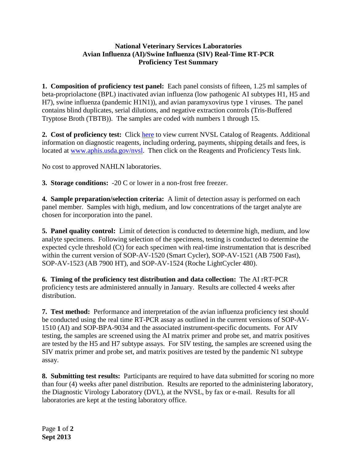## **National Veterinary Services Laboratories Avian Influenza (AI)/Swine Influenza (SIV) Real-Time RT-PCR Proficiency Test Summary**

**1. Composition of proficiency test panel:** Each panel consists of fifteen, 1.25 ml samples of beta-propriolactone (BPL) inactivated avian influenza (low pathogenic AI subtypes H1, H5 and H7), swine influenza (pandemic H1N1)), and avian paramyxovirus type 1 viruses. The panel contains blind duplicates, serial dilutions, and negative extraction controls (Tris-Buffered Tryptose Broth (TBTB)). The samples are coded with numbers 1 through 15.

2. Cost of proficiency test: Click [here](http://www.aphis.usda.gov/animal_health/lab_info_services/downloads/AmesReagentManualCurrent.pdf) to view current NVSL Catalog of Reagents. Additional information on diagnostic reagents, including ordering, payments, shipping details and fees, is located at [www.aphis.usda.gov/nvsl.](http://www.aphis.usda.gov/nvsl) Then click on the Reagents and Proficiency Tests link.

No cost to approved NAHLN laboratories.

**3. Storage conditions:** -20 C or lower in a non-frost free freezer.

**4. Sample preparation/selection criteria:** A limit of detection assay is performed on each panel member.Samples with high, medium, and low concentrations of the target analyte are chosen for incorporation into the panel.

**5. Panel quality control:** Limit of detection is conducted to determine high, medium, and low analyte specimens. Following selection of the specimens, testing is conducted to determine the expected cycle threshold (Ct) for each specimen with real-time instrumentation that is described within the current version of SOP-AV-1520 (Smart Cycler), SOP-AV-1521 (AB 7500 Fast), SOP-AV-1523 (AB 7900 HT), and SOP-AV-1524 (Roche LightCycler 480).

**6. Timing of the proficiency test distribution and data collection:** The AI rRT-PCR proficiency tests are administered annually in January. Results are collected 4 weeks after distribution.

**7. Test method:** Performance and interpretation of the avian influenza proficiency test should be conducted using the real time RT-PCR assay as outlined in the current versions of SOP-AV-1510 (AI) and SOP-BPA-9034 and the associated instrument-specific documents. For AIV testing, the samples are screened using the AI matrix primer and probe set, and matrix positives are tested by the H5 and H7 subtype assays. For SIV testing, the samples are screened using the SIV matrix primer and probe set, and matrix positives are tested by the pandemic N1 subtype assay.

**8. Submitting test results:** Participants are required to have data submitted for scoring no more than four (4) weeks after panel distribution. Results are reported to the administering laboratory, the Diagnostic Virology Laboratory (DVL), at the NVSL, by fax or e-mail. Results for all laboratories are kept at the testing laboratory office.